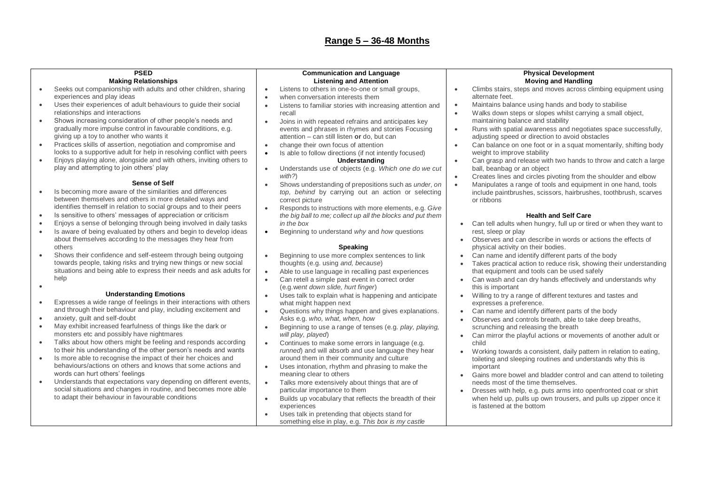| <b>PSED</b>            |                                                                                                                                        | <b>Communication and Language</b>                                                                  | <b>Physical Development</b>                                                                                                    |  |
|------------------------|----------------------------------------------------------------------------------------------------------------------------------------|----------------------------------------------------------------------------------------------------|--------------------------------------------------------------------------------------------------------------------------------|--|
|                        | <b>Making Relationships</b>                                                                                                            | <b>Listening and Attention</b>                                                                     | <b>Moving and Handling</b>                                                                                                     |  |
|                        | Seeks out companionship with adults and other children, sharing                                                                        | Listens to others in one-to-one or small groups,<br>$\bullet$                                      | Climbs stairs, steps and moves across climbing equipment using<br>$\bullet$                                                    |  |
|                        | experiences and play ideas                                                                                                             | when conversation interests them<br>$\bullet$                                                      | alternate feet.                                                                                                                |  |
| $\bullet$              | Uses their experiences of adult behaviours to guide their social                                                                       | Listens to familiar stories with increasing attention and<br>$\bullet$                             | Maintains balance using hands and body to stabilise<br>$\bullet$                                                               |  |
|                        | relationships and interactions                                                                                                         | recall                                                                                             | Walks down steps or slopes whilst carrying a small object,<br>$\bullet$                                                        |  |
|                        | Shows increasing consideration of other people's needs and<br>gradually more impulse control in favourable conditions, e.g.            | Joins in with repeated refrains and anticipates key<br>$\bullet$                                   | maintaining balance and stability                                                                                              |  |
|                        | giving up a toy to another who wants it                                                                                                | events and phrases in rhymes and stories Focusing<br>attention - can still listen or do, but can   | Runs with spatial awareness and negotiates space successfully,<br>$\bullet$<br>adjusting speed or direction to avoid obstacles |  |
| $\bullet$              | Practices skills of assertion, negotiation and compromise and                                                                          | change their own focus of attention<br>$\bullet$                                                   | Can balance on one foot or in a squat momentarily, shifting body<br>$\bullet$                                                  |  |
|                        | looks to a supportive adult for help in resolving conflict with peers                                                                  | Is able to follow directions (if not intently focused)<br>$\bullet$                                | weight to improve stability                                                                                                    |  |
| $\bullet$              | Enjoys playing alone, alongside and with others, inviting others to                                                                    | Understanding                                                                                      | Can grasp and release with two hands to throw and catch a large<br>$\bullet$                                                   |  |
|                        | play and attempting to join others' play                                                                                               | Understands use of objects (e.g. Which one do we cut<br>$\bullet$                                  | ball, beanbag or an object                                                                                                     |  |
|                        |                                                                                                                                        | with?)                                                                                             | Creates lines and circles pivoting from the shoulder and elbow<br>$\bullet$                                                    |  |
|                        | <b>Sense of Self</b>                                                                                                                   | Shows understanding of prepositions such as under, on<br>$\bullet$                                 | Manipulates a range of tools and equipment in one hand, tools<br>$\bullet$                                                     |  |
| $\bullet$              | Is becoming more aware of the similarities and differences                                                                             | top, behind by carrying out an action or selecting                                                 | include paintbrushes, scissors, hairbrushes, toothbrush, scarves                                                               |  |
|                        | between themselves and others in more detailed ways and                                                                                | correct picture                                                                                    | or ribbons                                                                                                                     |  |
|                        | identifies themself in relation to social groups and to their peers                                                                    | Responds to instructions with more elements, e.g. Give<br>$\bullet$                                |                                                                                                                                |  |
| $\bullet$<br>$\bullet$ | Is sensitive to others' messages of appreciation or criticism                                                                          | the big ball to me; collect up all the blocks and put them<br>in the box                           | <b>Health and Self Care</b>                                                                                                    |  |
| $\bullet$              | Enjoys a sense of belonging through being involved in daily tasks<br>Is aware of being evaluated by others and begin to develop ideas  | Beginning to understand why and how questions<br>$\bullet$                                         | Can tell adults when hungry, full up or tired or when they want to<br>rest, sleep or play                                      |  |
|                        | about themselves according to the messages they hear from                                                                              |                                                                                                    | Observes and can describe in words or actions the effects of                                                                   |  |
|                        | others                                                                                                                                 | <b>Speaking</b>                                                                                    | physical activity on their bodies.                                                                                             |  |
| $\bullet$              | Shows their confidence and self-esteem through being outgoing                                                                          | Beginning to use more complex sentences to link<br>$\bullet$                                       | Can name and identify different parts of the body                                                                              |  |
|                        | towards people, taking risks and trying new things or new social                                                                       | thoughts (e.g. using and, because)                                                                 | Takes practical action to reduce risk, showing their understanding                                                             |  |
|                        | situations and being able to express their needs and ask adults for                                                                    | Able to use language in recalling past experiences<br>$\bullet$                                    | that equipment and tools can be used safely                                                                                    |  |
|                        | help                                                                                                                                   | Can retell a simple past event in correct order<br>$\bullet$                                       | Can wash and can dry hands effectively and understands why<br>$\bullet$                                                        |  |
| $\bullet$              |                                                                                                                                        | (e.g. went down slide, hurt finger)                                                                | this is important                                                                                                              |  |
|                        | <b>Understanding Emotions</b>                                                                                                          | Uses talk to explain what is happening and anticipate<br>$\bullet$                                 | Willing to try a range of different textures and tastes and<br>$\bullet$                                                       |  |
| $\bullet$              | Expresses a wide range of feelings in their interactions with others<br>and through their behaviour and play, including excitement and | what might happen next                                                                             | expresses a preference.                                                                                                        |  |
| $\bullet$              | anxiety, guilt and self-doubt                                                                                                          | Questions why things happen and gives explanations.<br>$\bullet$<br>Asks e.g. who, what, when, how | Can name and identify different parts of the body<br>$\bullet$                                                                 |  |
| $\bullet$              | May exhibit increased fearfulness of things like the dark or                                                                           | Beginning to use a range of tenses (e.g. play, playing,<br>$\bullet$                               | Observes and controls breath, able to take deep breaths,<br>scrunching and releasing the breath                                |  |
|                        | monsters etc and possibly have nightmares                                                                                              | will play, played)                                                                                 | Can mirror the playful actions or movements of another adult or                                                                |  |
| $\bullet$              | Talks about how others might be feeling and responds according                                                                         | Continues to make some errors in language (e.g.<br>$\bullet$                                       | child                                                                                                                          |  |
|                        | to their his understanding of the other person's needs and wants                                                                       | runned) and will absorb and use language they hear                                                 | Working towards a consistent, daily pattern in relation to eating,<br>$\bullet$                                                |  |
| $\bullet$              | Is more able to recognise the impact of their her choices and                                                                          | around them in their community and culture                                                         | toileting and sleeping routines and understands why this is                                                                    |  |
|                        | behaviours/actions on others and knows that some actions and                                                                           | Uses intonation, rhythm and phrasing to make the<br>$\bullet$                                      | important                                                                                                                      |  |
|                        | words can hurt others' feelings                                                                                                        | meaning clear to others                                                                            | Gains more bowel and bladder control and can attend to toileting                                                               |  |
|                        | Understands that expectations vary depending on different events,                                                                      | Talks more extensively about things that are of<br>$\bullet$                                       | needs most of the time themselves.                                                                                             |  |
|                        | social situations and changes in routine, and becomes more able                                                                        | particular importance to them                                                                      | Dresses with help, e.g. puts arms into openfronted coat or shirt                                                               |  |
|                        | to adapt their behaviour in favourable conditions                                                                                      | Builds up vocabulary that reflects the breadth of their<br>$\bullet$                               | when held up, pulls up own trousers, and pulls up zipper once it<br>is fastened at the bottom                                  |  |
|                        |                                                                                                                                        | experiences<br>Uses talk in pretending that objects stand for<br>$\bullet$                         |                                                                                                                                |  |
|                        |                                                                                                                                        | something else in play, e.g. This box is my castle                                                 |                                                                                                                                |  |